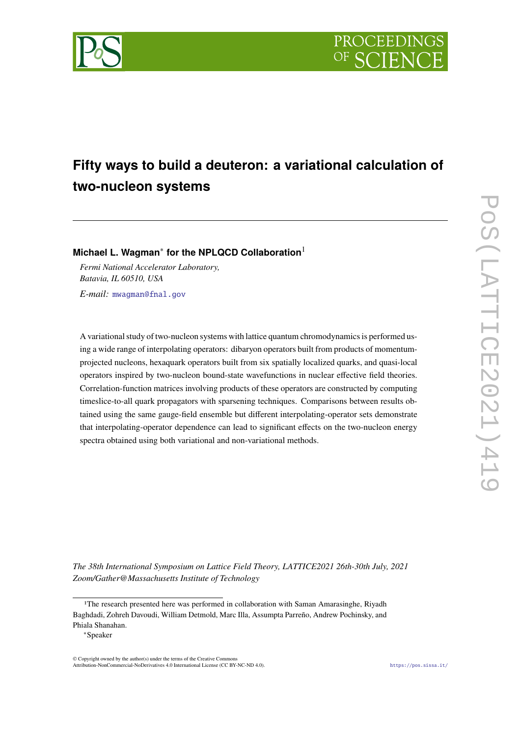

# **Fifty ways to build a deuteron: a variational calculation of two-nucleon systems**

**Michael L. Wagman**<sup>∗</sup> **for the NPLQCD Collaboration**<sup>1</sup>

*Fermi National Accelerator Laboratory, Batavia, IL 60510, USA E-mail:* [mwagman@fnal.gov](mailto:mwagman@fnal.gov)

A variational study of two-nucleon systems with lattice quantum chromodynamics is performed using a wide range of interpolating operators: dibaryon operators built from products of momentumprojected nucleons, hexaquark operators built from six spatially localized quarks, and quasi-local operators inspired by two-nucleon bound-state wavefunctions in nuclear effective field theories. Correlation-function matrices involving products of these operators are constructed by computing timeslice-to-all quark propagators with sparsening techniques. Comparisons between results obtained using the same gauge-field ensemble but different interpolating-operator sets demonstrate that interpolating-operator dependence can lead to significant effects on the two-nucleon energy spectra obtained using both variational and non-variational methods.

*The 38th International Symposium on Lattice Field Theory, LATTICE2021 26th-30th July, 2021 Zoom/Gather@Massachusetts Institute of Technology*

<sup>&</sup>lt;sup>1</sup>The research presented here was performed in collaboration with Saman Amarasinghe, Riyadh Baghdadi, Zohreh Davoudi, William Detmold, Marc Illa, Assumpta Parreño, Andrew Pochinsky, and Phiala Shanahan.

<sup>∗</sup>Speaker

 $\odot$  Copyright owned by the author(s) under the terms of the Creative Common Attribution-NonCommercial-NoDerivatives 4.0 International License (CC BY-NC-ND 4.0). <https://pos.sissa.it/>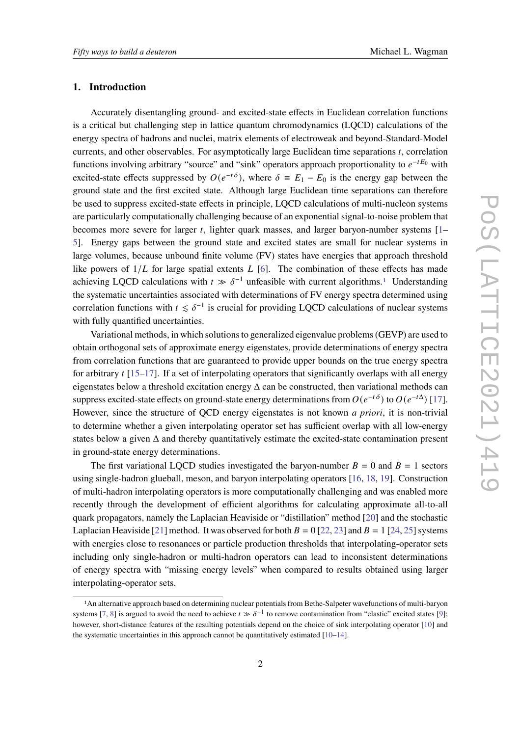### **1. Introduction**

Accurately disentangling ground- and excited-state effects in Euclidean correlation functions is a critical but challenging step in lattice quantum chromodynamics (LQCD) calculations of the energy spectra of hadrons and nuclei, matrix elements of electroweak and beyond-Standard-Model currents, and other observables. For asymptotically large Euclidean time separations  $t$ , correlation functions involving arbitrary "source" and "sink" operators approach proportionality to  $e^{-tE_0}$  with excited-state effects suppressed by  $O(e^{-t\delta})$ , where  $\delta \equiv E_1 - E_0$  is the energy gap between the ground state and the first excited state. Although large Euclidean time separations can therefore be used to suppress excited-state effects in principle, LQCD calculations of multi-nucleon systems are particularly computationally challenging because of an exponential signal-to-noise problem that becomes more severe for larger  $t$ , lighter quark masses, and larger baryon-number systems  $[1-$ [5\]](#page-9-1). Energy gaps between the ground state and excited states are small for nuclear systems in large volumes, because unbound finite volume (FV) states have energies that approach threshold like powers of  $1/L$  for large spatial extents  $L$  [\[6\]](#page-9-2). The combination of these effects has made achieving LQCD calculations with  $t \gg \delta^{-1}$  $t \gg \delta^{-1}$  $t \gg \delta^{-1}$  unfeasible with current algorithms.<sup>1</sup> Understanding the systematic uncertainties associated with determinations of FV energy spectra determined using correlation functions with  $t \leq \delta^{-1}$  is crucial for providing LQCD calculations of nuclear systems with fully quantified uncertainties.

Variational methods, in which solutions to generalized eigenvalue problems (GEVP) are used to obtain orthogonal sets of approximate energy eigenstates, provide determinations of energy spectra from correlation functions that are guaranteed to provide upper bounds on the true energy spectra for arbitrary  $t$  [\[15–](#page-10-0)[17\]](#page-10-1). If a set of interpolating operators that significantly overlaps with all energy eigenstates below a threshold excitation energy  $\Delta$  can be constructed, then variational methods can suppress excited-state effects on ground-state energy determinations from  $O(e^{-t\delta})$  to  $O(e^{-t\Delta})$  [\[17\]](#page-10-1). However, since the structure of QCD energy eigenstates is not known *a priori*, it is non-trivial to determine whether a given interpolating operator set has sufficient overlap with all low-energy states below a given  $\Delta$  and thereby quantitatively estimate the excited-state contamination present in ground-state energy determinations.

The first variational LOCD studies investigated the baryon-number  $B = 0$  and  $B = 1$  sectors using single-hadron glueball, meson, and baryon interpolating operators [\[16,](#page-10-2) [18,](#page-10-3) [19\]](#page-10-4). Construction of multi-hadron interpolating operators is more computationally challenging and was enabled more recently through the development of efficient algorithms for calculating approximate all-to-all quark propagators, namely the Laplacian Heaviside or "distillation" method [\[20\]](#page-10-5) and the stochastic Laplacian Heaviside [\[21\]](#page-10-6) method. It was observed for both  $B = 0$  [\[22,](#page-10-7) [23\]](#page-10-8) and  $B = 1$  [\[24,](#page-10-9) [25\]](#page-11-0) systems with energies close to resonances or particle production thresholds that interpolating-operator sets including only single-hadron or multi-hadron operators can lead to inconsistent determinations of energy spectra with "missing energy levels" when compared to results obtained using larger interpolating-operator sets.

<span id="page-1-0"></span><sup>1</sup>An alternative approach based on determining nuclear potentials from Bethe-Salpeter wavefunctions of multi-baryon systems [\[7,](#page-9-3) [8\]](#page-9-4) is argued to avoid the need to achieve  $t \gg \delta^{-1}$  to remove contamination from "elastic" excited states [\[9\]](#page-9-5); however, short-distance features of the resulting potentials depend on the choice of sink interpolating operator [\[10\]](#page-9-6) and the systematic uncertainties in this approach cannot be quantitatively estimated [\[10–](#page-9-6)[14\]](#page-10-10).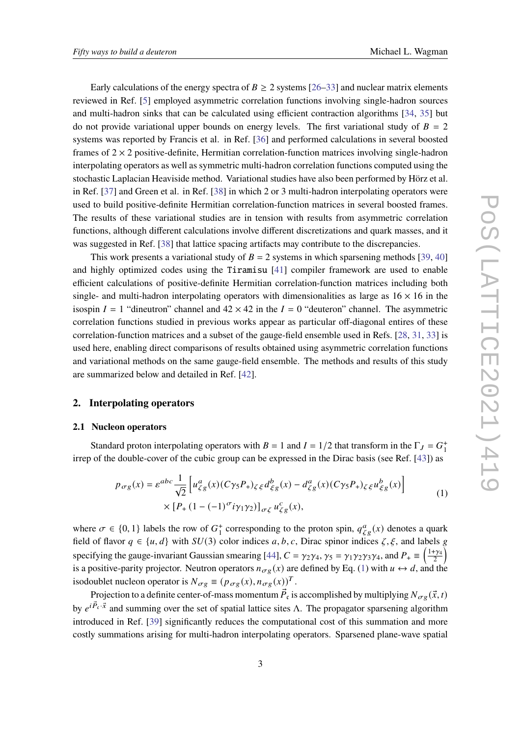Early calculations of the energy spectra of  $B \ge 2$  systems [\[26–](#page-11-1)[33\]](#page-11-2) and nuclear matrix elements reviewed in Ref. [\[5\]](#page-9-1) employed asymmetric correlation functions involving single-hadron sources and multi-hadron sinks that can be calculated using efficient contraction algorithms [\[34,](#page-11-3) [35\]](#page-11-4) but do not provide variational upper bounds on energy levels. The first variational study of  $B = 2$ systems was reported by Francis et al. in Ref. [\[36\]](#page-11-5) and performed calculations in several boosted frames of  $2 \times 2$  positive-definite, Hermitian correlation-function matrices involving single-hadron interpolating operators as well as symmetric multi-hadron correlation functions computed using the stochastic Laplacian Heaviside method. Variational studies have also been performed by Hörz et al. in Ref. [\[37\]](#page-11-6) and Green et al. in Ref. [\[38\]](#page-12-0) in which 2 or 3 multi-hadron interpolating operators were used to build positive-definite Hermitian correlation-function matrices in several boosted frames. The results of these variational studies are in tension with results from asymmetric correlation functions, although different calculations involve different discretizations and quark masses, and it was suggested in Ref. [\[38\]](#page-12-0) that lattice spacing artifacts may contribute to the discrepancies.

This work presents a variational study of  $B = 2$  systems in which sparsening methods [\[39,](#page-12-1) [40\]](#page-12-2) and highly optimized codes using the Tiramisu [\[41\]](#page-12-3) compiler framework are used to enable efficient calculations of positive-definite Hermitian correlation-function matrices including both single- and multi-hadron interpolating operators with dimensionalities as large as  $16 \times 16$  in the isospin  $I = 1$  "dineutron" channel and  $42 \times 42$  in the  $I = 0$  "deuteron" channel. The asymmetric correlation functions studied in previous works appear as particular off-diagonal entires of these correlation-function matrices and a subset of the gauge-field ensemble used in Refs. [\[28,](#page-11-7) [31,](#page-11-8) [33\]](#page-11-2) is used here, enabling direct comparisons of results obtained using asymmetric correlation functions and variational methods on the same gauge-field ensemble. The methods and results of this study are summarized below and detailed in Ref. [\[42\]](#page-12-4).

# **2. Interpolating operators**

### **2.1 Nucleon operators**

Standard proton interpolating operators with  $B = 1$  and  $I = 1/2$  that transform in the  $\Gamma_J = G^+$ 1 irrep of the double-cover of the cubic group can be expressed in the Dirac basis (see Ref. [\[43\]](#page-12-5)) as

$$
p_{\sigma g}(x) = \varepsilon^{abc} \frac{1}{\sqrt{2}} \left[ u_{\zeta g}^a(x) (C\gamma_5 P_+)_{\zeta \xi} d_{\xi g}^b(x) - d_{\zeta g}^a(x) (C\gamma_5 P_+)_{\zeta \xi} u_{\xi g}^b(x) \right] \times \left[ P_+ (1 - (-1)^\sigma i \gamma_1 \gamma_2) \right]_{\sigma \zeta} u_{\zeta g}^c(x), \tag{1}
$$

<span id="page-2-0"></span>where  $\sigma \in \{0, 1\}$  labels the row of  $G_1^+$ <sup>+</sup> corresponding to the proton spin,  $q_{\zeta g}^a(x)$  denotes a quark field of flavor  $q \in \{u, d\}$  with  $SU(3)$  color indices a, b, c, Dirac spinor indices  $\zeta, \xi$ , and labels g specifying the gauge-invariant Gaussian smearing [\[44\]](#page-12-6),  $C = \gamma_2 \gamma_4$ ,  $\gamma_5 = \gamma_1 \gamma_2 \gamma_3 \gamma_4$ , and  $P_+ \equiv \left(\frac{1+\gamma_4}{2}\right)$  $\frac{+\gamma_4}{2}\Big)$ is a positive-parity projector. Neutron operators  $n_{\sigma\varrho}(x)$  are defined by Eq. [\(1\)](#page-2-0) with  $u \leftrightarrow d$ , and the isodoublet nucleon operator is  $N_{\sigma g} \equiv (p_{\sigma g}(x), n_{\sigma g}(x))^T$ .

Projection to a definite center-of-mass momentum  $\vec{P}_{\mathfrak{c}}$  is accomplished by multiplying  $N_{\sigma g}(\vec{x},t)$ by  $e^{i\vec{P}_x \cdot \vec{x}}$  and summing over the set of spatial lattice sites  $\Lambda$ . The propagator sparsening algorithm introduced in Ref. [\[39\]](#page-12-1) significantly reduces the computational cost of this summation and more costly summations arising for multi-hadron interpolating operators. Sparsened plane-wave spatial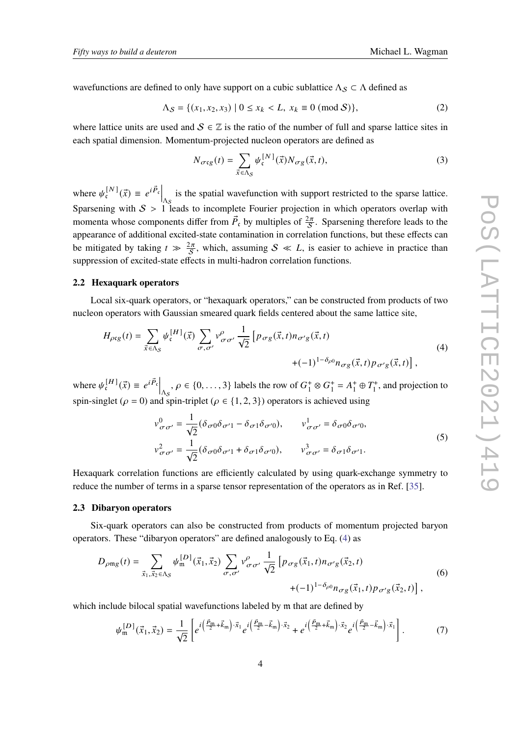wavefunctions are defined to only have support on a cubic sublattice  $\Lambda_S \subset \Lambda$  defined as

$$
\Lambda_{\mathcal{S}} = \{ (x_1, x_2, x_3) \mid 0 \le x_k < L, \ x_k \equiv 0 \ (\text{mod } \mathcal{S}) \},\tag{2}
$$

where lattice units are used and  $S \in \mathbb{Z}$  is the ratio of the number of full and sparse lattice sites in each spatial dimension. Momentum-projected nucleon operators are defined as

$$
N_{\sigma\mathfrak{c}g}(t) = \sum_{\vec{x}\in\Lambda_{\mathcal{S}}} \psi_{\mathfrak{c}}^{[N]}(\vec{x}) N_{\sigma g}(\vec{x}, t),\tag{3}
$$

where  $\psi_{\mathfrak{c}}^{[N]}$  $\[\vec{c}^{[N]}(\vec{x}) \equiv e^{i \vec{P}_c} \Big|_{\Lambda_S}$  is the spatial wavefunction with support restricted to the sparse lattice. Sparsening with  $S > 1$  leads to incomplete Fourier projection in which operators overlap with momenta whose components differ from  $\vec{P}_c$  by multiples of  $\frac{2\pi}{S}$ . Sparsening therefore leads to the appearance of additional excited-state contamination in correlation functions, but these effects can be mitigated by taking  $t \gg \frac{2\pi}{S}$ , which, assuming  $S \ll L$ , is easier to achieve in practice than suppression of excited-state effects in multi-hadron correlation functions.

# **2.2 Hexaquark operators**

Local six-quark operators, or "hexaquark operators," can be constructed from products of two nucleon operators with Gaussian smeared quark fields centered about the same lattice site,

<span id="page-3-0"></span>
$$
H_{\rho cg}(t) = \sum_{\vec{x} \in \Lambda_S} \psi_{c}^{[H]}(\vec{x}) \sum_{\sigma, \sigma'} \nu^{\rho}_{\sigma \sigma'} \frac{1}{\sqrt{2}} \left[ p_{\sigma g}(\vec{x}, t) n_{\sigma' g}(\vec{x}, t) + (-1)^{1 - \delta_{\rho 0}} n_{\sigma g}(\vec{x}, t) p_{\sigma' g}(\vec{x}, t) \right],
$$
\n(4)

where  $\psi_{\mathfrak{c}}^{[H]}$  $\begin{bmatrix} [H] \\ \vec{x} \end{bmatrix} \equiv e^{i \vec{P}_c} \Big|_{\Delta_S}, \rho \in \{0, \ldots, 3\}$  labels the row of  $G_1^+$  $^{+}_{1} \otimes G^{+}_{1}$  $i_1^+ = A_1^+$  $T_1^+ \oplus T_1^+$  $_1^+$ , and projection to spin-singlet ( $\rho = 0$ ) and spin-triplet ( $\rho \in \{1, 2, 3\}$ ) operators is achieved using

$$
v^{0}_{\sigma\sigma'} = \frac{1}{\sqrt{2}} (\delta_{\sigma 0}\delta_{\sigma' 1} - \delta_{\sigma 1}\delta_{\sigma' 0}), \qquad v^{1}_{\sigma\sigma'} = \delta_{\sigma 0}\delta_{\sigma' 0},
$$
  

$$
v^{2}_{\sigma\sigma'} = \frac{1}{\sqrt{2}} (\delta_{\sigma 0}\delta_{\sigma' 1} + \delta_{\sigma 1}\delta_{\sigma' 0}), \qquad v^{3}_{\sigma\sigma'} = \delta_{\sigma 1}\delta_{\sigma' 1}.
$$
  
(5)

Hexaquark correlation functions are efficiently calculated by using quark-exchange symmetry to reduce the number of terms in a sparse tensor representation of the operators as in Ref. [\[35\]](#page-11-4).

#### **2.3 Dibaryon operators**

Six-quark operators can also be constructed from products of momentum projected baryon operators. These "dibaryon operators" are defined analogously to Eq. [\(4\)](#page-3-0) as

<span id="page-3-1"></span>
$$
D_{\rho mg}(t) = \sum_{\vec{x}_1, \vec{x}_2 \in \Lambda_S} \psi_{m}^{[D]}(\vec{x}_1, \vec{x}_2) \sum_{\sigma, \sigma'} v_{\sigma \sigma'}^{\rho} \frac{1}{\sqrt{2}} \left[ p_{\sigma g}(\vec{x}_1, t) n_{\sigma' g}(\vec{x}_2, t) + (-1)^{1 - \delta_{\rho 0}} n_{\sigma g}(\vec{x}_1, t) p_{\sigma' g}(\vec{x}_2, t) \right],
$$
\n(6)

which include bilocal spatial wavefunctions labeled by m that are defined by

<span id="page-3-2"></span>
$$
\psi_{\mathfrak{m}}^{[D]}(\vec{x}_1, \vec{x}_2) = \frac{1}{\sqrt{2}} \left[ e^{i \left( \frac{\vec{P}_{\mathfrak{m}}}{2} + \vec{k}_{\mathfrak{m}} \right) \cdot \vec{x}_1} e^{i \left( \frac{\vec{P}_{\mathfrak{m}}}{2} - \vec{k}_{\mathfrak{m}} \right) \cdot \vec{x}_2} + e^{i \left( \frac{\vec{P}_{\mathfrak{m}}}{2} + \vec{k}_{\mathfrak{m}} \right) \cdot \vec{x}_2} e^{i \left( \frac{\vec{P}_{\mathfrak{m}}}{2} - \vec{k}_{\mathfrak{m}} \right) \cdot \vec{x}_1} \right]. \tag{7}
$$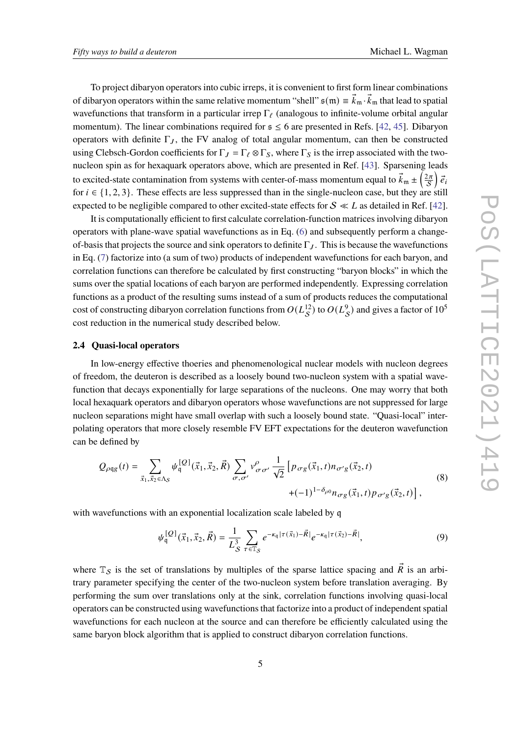To project dibaryon operators into cubic irreps, it is convenient to first form linear combinations of dibaryon operators within the same relative momentum "shell"  $\frak s(\frak m)\equiv \vec k_{\frak m}\cdot\vec k_{\frak m}$  that lead to spatial wavefunctions that transform in a particular irrep  $\Gamma_\ell$  (analogous to infinite-volume orbital angular momentum). The linear combinations required for  $s \le 6$  are presented in Refs. [\[42,](#page-12-4) [45\]](#page-12-7). Dibaryon operators with definite  $\Gamma_J$ , the FV analog of total angular momentum, can then be constructed using Clebsch-Gordon coefficients for  $\Gamma_J = \Gamma_\ell \otimes \Gamma_S$ , where  $\Gamma_S$  is the irrep associated with the twonucleon spin as for hexaquark operators above, which are presented in Ref. [\[43\]](#page-12-5). Sparsening leads to excited-state contamination from systems with center-of-mass momentum equal to  $\vec{k}_m \pm \left(\frac{2\pi}{S}\right)\vec{e}_i$ for  $i \in \{1, 2, 3\}$ . These effects are less suppressed than in the single-nucleon case, but they are still expected to be negligible compared to other excited-state effects for  $S \ll L$  as detailed in Ref. [\[42\]](#page-12-4).

It is computationally efficient to first calculate correlation-function matrices involving dibaryon operators with plane-wave spatial wavefunctions as in Eq. [\(6\)](#page-3-1) and subsequently perform a changeof-basis that projects the source and sink operators to definite  $\Gamma$ <sub> $I$ </sub>. This is because the wavefunctions in Eq. [\(7\)](#page-3-2) factorize into (a sum of two) products of independent wavefunctions for each baryon, and correlation functions can therefore be calculated by first constructing "baryon blocks" in which the sums over the spatial locations of each baryon are performed independently. Expressing correlation functions as a product of the resulting sums instead of a sum of products reduces the computational cost of constructing dibaryon correlation functions from  $O(L_S^{12})$  to  $O(L_S^9)$  and gives a factor of  $10^5$ cost reduction in the numerical study described below.

#### **2.4 Quasi-local operators**

In low-energy effective thoeries and phenomenological nuclear models with nucleon degrees of freedom, the deuteron is described as a loosely bound two-nucleon system with a spatial wavefunction that decays exponentially for large separations of the nucleons. One may worry that both local hexaquark operators and dibaryon operators whose wavefunctions are not suppressed for large nucleon separations might have small overlap with such a loosely bound state. "Quasi-local" interpolating operators that more closely resemble FV EFT expectations for the deuteron wavefunction can be defined by

$$
Q_{\rho qg}(t) = \sum_{\vec{x}_1, \vec{x}_2 \in \Lambda_S} \psi_q^{\{Q\}}(\vec{x}_1, \vec{x}_2, \vec{R}) \sum_{\sigma, \sigma'} v_{\sigma \sigma'}^{\rho} \frac{1}{\sqrt{2}} \left[ p_{\sigma g}(\vec{x}_1, t) n_{\sigma' g}(\vec{x}_2, t) + (-1)^{1 - \delta_{\rho 0}} n_{\sigma g}(\vec{x}_1, t) p_{\sigma' g}(\vec{x}_2, t) \right],
$$
\n(8)

with wavefunctions with an exponential localization scale labeled by q

$$
\psi_q^{\{Q\}}(\vec{x}_1, \vec{x}_2, \vec{R}) = \frac{1}{L_S^3} \sum_{\tau \in \mathbb{T}_S} e^{-\kappa_q |\tau(\vec{x}_1) - \vec{R}|} e^{-\kappa_q |\tau(\vec{x}_2) - \vec{R}|},\tag{9}
$$

where  $\mathbb{T}_{\mathcal{S}}$  is the set of translations by multiples of the sparse lattice spacing and  $\vec{R}$  is an arbitrary parameter specifying the center of the two-nucleon system before translation averaging. By performing the sum over translations only at the sink, correlation functions involving quasi-local operators can be constructed using wavefunctions that factorize into a product of independent spatial wavefunctions for each nucleon at the source and can therefore be efficiently calculated using the same baryon block algorithm that is applied to construct dibaryon correlation functions.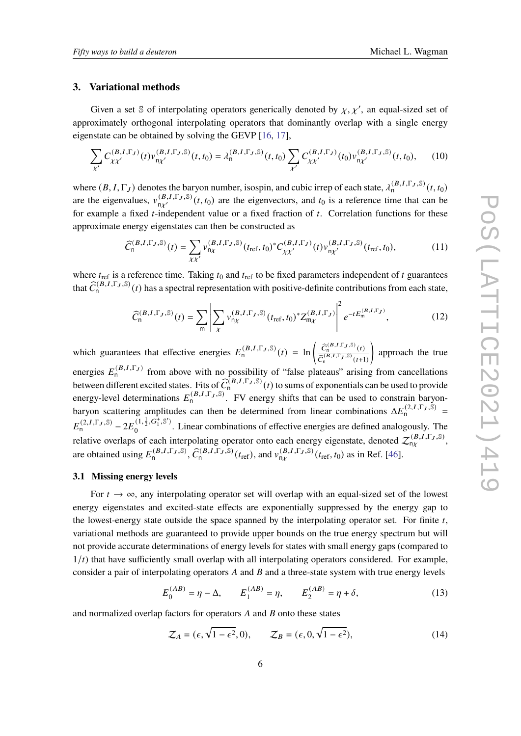### **3. Variational methods**

Given a set S of interpolating operators generically denoted by  $\chi, \chi'$ , an equal-sized set of approximately orthogonal interpolating operators that dominantly overlap with a single energy eigenstate can be obtained by solving the GEVP [\[16,](#page-10-2) [17\]](#page-10-1),

$$
\sum_{\chi'} C_{\chi\chi'}^{(B,I,\Gamma_J)}(t) v_{n\chi'}^{(B,I,\Gamma_J,\mathbb{S})}(t,t_0) = \lambda_n^{(B,I,\Gamma_J,\mathbb{S})}(t,t_0) \sum_{\chi'} C_{\chi\chi'}^{(B,I,\Gamma_J)}(t_0) v_{n\chi'}^{(B,I,\Gamma_J,\mathbb{S})}(t,t_0),\tag{10}
$$

where  $(B, I, \Gamma_J)$  denotes the baryon number, isospin, and cubic irrep of each state,  $\lambda_0^{(B, I, \Gamma_J, \mathbb{S})}$   $(t, t_0)$ are the eigenvalues,  $v_{n\chi'}^{(B,I,\Gamma_J,\mathbb{S})}(t,t_0)$  are the eigenvectors, and  $t_0$  is a reference time that can be for example a fixed  $t$ -independent value or a fixed fraction of  $t$ . Correlation functions for these approximate energy eigenstates can then be constructed as

$$
\widehat{C}_{n}^{(B,I,\Gamma_{J},\mathbb{S})}(t) = \sum_{\chi\chi'} \nu_{n\chi}^{(B,I,\Gamma_{J},\mathbb{S})}(t_{\text{ref}},t_{0})^{*} C_{\chi\chi'}^{(B,I,\Gamma_{J})}(t) \nu_{n\chi'}^{(B,I,\Gamma_{J},\mathbb{S})}(t_{\text{ref}},t_{0}),
$$
\n(11)

where  $t_{\text{ref}}$  is a reference time. Taking  $t_0$  and  $t_{\text{ref}}$  to be fixed parameters independent of t guarantees that  $\hat{C}_n^{(B,I,\Gamma_J,\mathbb{S})}(t)$  has a spectral representation with positive-definite contributions from each state,

$$
\widehat{C}_{n}^{(B,I,\Gamma_{J},\mathbb{S})}(t) = \sum_{m} \left| \sum_{\chi} \nu_{n\chi}^{(B,I,\Gamma_{J},\mathbb{S})} (t_{\text{ref}},t_{0})^{*} Z_{m\chi}^{(B,I,\Gamma_{J})} \right|^{2} e^{-t E_{m}^{(B,I,\Gamma_{J})}}, \qquad (12)
$$

which guarantees that effective energies  $E_n^{(B,I,\Gamma_J,\mathbb{S})}(t) = \ln\left(\frac{\hat{C}_n^{(B,I,\Gamma_J,\mathbb{S})}(t)}{\hat{C}_n^{(B,I,\Gamma_J,\mathbb{S})}(t)}\right)$  $\overline{\widehat{C}_n^{(B,I,\Gamma_J,\mathbb{S})}(t+1)}$  $\backslash$ approach the true energies  $E_n^{(B,I,\Gamma_J)}$  from above with no possibility of "false plateaus" arising from cancellations between different excited states. Fits of  $\widehat{C}_{n}^{(B,I,\Gamma_J,\mathbb{S})}(t)$  to sums of exponentials can be used to provide energy-level determinations  $E_n^{(B,I,\Gamma_J,\mathbb{S})}$ . FV energy shifts that can be used to constrain baryonbaryon scattering amplitudes can then be determined from linear combinations  $\Delta E_n^{(2,I,\Gamma_J,\tilde{\mathbb{S}})}$  =  $E_n^{(2,I,\Gamma_J,\mathbb{S})}-2E_0^{(1,\frac{1}{2},G_1^+,\mathbb{S}')}$  $\frac{1}{2}$ . Linear combinations of effective energies are defined analogously. The relative overlaps of each interpolating operator onto each energy eigenstate, denoted  $\mathcal{Z}_{n\chi}^{(B,I,\Gamma_J,\mathbb{S})}$ , are obtained using  $E_n^{(B,I,\Gamma_J,\mathbb{S})}$ ,  $\widehat{C}_n^{(B,I,\Gamma_J,\mathbb{S})}(t_{\text{ref}})$ , and  $v_{n\chi}^{(B,I,\Gamma_J,\mathbb{S})}(t_{\text{ref}},t_0)$  as in Ref. [\[46\]](#page-12-8).

# <span id="page-5-0"></span>**3.1 Missing energy levels**

For  $t \to \infty$ , any interpolating operator set will overlap with an equal-sized set of the lowest energy eigenstates and excited-state effects are exponentially suppressed by the energy gap to the lowest-energy state outside the space spanned by the interpolating operator set. For finite  $t$ , variational methods are guaranteed to provide upper bounds on the true energy spectrum but will not provide accurate determinations of energy levels for states with small energy gaps (compared to  $1/t$ ) that have sufficiently small overlap with all interpolating operators considered. For example, consider a pair of interpolating operators  $A$  and  $B$  and a three-state system with true energy levels

$$
E_0^{(AB)} = \eta - \Delta, \qquad E_1^{(AB)} = \eta, \qquad E_2^{(AB)} = \eta + \delta,
$$
 (13)

and normalized overlap factors for operators  $A$  and  $B$  onto these states

$$
\mathcal{Z}_A = (\epsilon, \sqrt{1 - \epsilon^2}, 0), \qquad \mathcal{Z}_B = (\epsilon, 0, \sqrt{1 - \epsilon^2}), \tag{14}
$$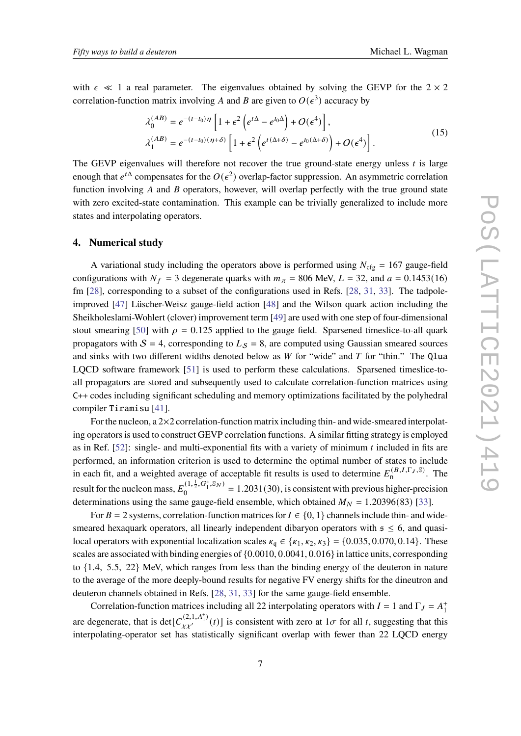with  $\epsilon \ll 1$  a real parameter. The eigenvalues obtained by solving the GEVP for the  $2 \times 2$ correlation-function matrix involving A and B are given to  $O(\epsilon^3)$  accuracy by

$$
\lambda_0^{(AB)} = e^{-(t-t_0)\eta} \left[ 1 + \epsilon^2 \left( e^{t\Delta} - e^{t_0\Delta} \right) + O(\epsilon^4) \right],
$$
\n
$$
\lambda_1^{(AB)} = e^{-(t-t_0)(\eta+\delta)} \left[ 1 + \epsilon^2 \left( e^{t(\Delta+\delta)} - e^{t_0(\Delta+\delta)} \right) + O(\epsilon^4) \right].
$$
\n(15)

The GEVP eigenvalues will therefore not recover the true ground-state energy unless  $t$  is large enough that  $e^{t\Delta}$  compensates for the  $O(\epsilon^2)$  overlap-factor suppression. An asymmetric correlation function involving  $A$  and  $B$  operators, however, will overlap perfectly with the true ground state with zero excited-state contamination. This example can be trivially generalized to include more states and interpolating operators.

# **4. Numerical study**

A variational study including the operators above is performed using  $N_{\text{cfg}} = 167$  gauge-field configurations with  $N_f = 3$  degenerate quarks with  $m_{\pi} = 806$  MeV,  $L = 32$ , and  $a = 0.1453(16)$ fm [\[28\]](#page-11-7), corresponding to a subset of the configurations used in Refs. [\[28,](#page-11-7) [31,](#page-11-8) [33\]](#page-11-2). The tadpoleimproved [\[47\]](#page-12-9) Lüscher-Weisz gauge-field action [\[48\]](#page-12-10) and the Wilson quark action including the Sheikholeslami-Wohlert (clover) improvement term [\[49\]](#page-12-11) are used with one step of four-dimensional stout smearing [\[50\]](#page-12-12) with  $\rho = 0.125$  applied to the gauge field. Sparsened timeslice-to-all quark propagators with  $S = 4$ , corresponding to  $L<sub>S</sub> = 8$ , are computed using Gaussian smeared sources and sinks with two different widths denoted below as  $W$  for "wide" and  $T$  for "thin." The Qlua LQCD software framework [\[51\]](#page-12-13) is used to perform these calculations. Sparsened timeslice-toall propagators are stored and subsequently used to calculate correlation-function matrices using C++ codes including significant scheduling and memory optimizations facilitated by the polyhedral compiler Tiramisu [\[41\]](#page-12-3).

For the nucleon, a  $2\times2$  correlation-function matrix including thin- and wide-smeared interpolating operators is used to construct GEVP correlation functions. A similar fitting strategy is employed as in Ref.  $[52]$ : single- and multi-exponential fits with a variety of minimum  $t$  included in fits are performed, an information criterion is used to determine the optimal number of states to include in each fit, and a weighted average of acceptable fit results is used to determine  $E_0^{(B,I,\Gamma_J,\mathbb{S})}$ . The result for the nucleon mass,  $E_0^{(1,\frac{1}{2},G_1^*,\mathbb{S}_N)}$  $\binom{(1, \frac{1}{2}, \mathbf{G}_1^T, \mathbf{S}_N)}{0} = 1.2031(30)$ , is consistent with previous higher-precision determinations using the same gauge-field ensemble, which obtained  $M_N = 1.20396(83)$  [\[33\]](#page-11-2).

For  $B = 2$  systems, correlation-function matrices for  $I \in \{0, 1\}$  channels include thin- and widesmeared hexaquark operators, all linearly independent dibaryon operators with  $s \leq 6$ , and quasilocal operators with exponential localization scales  $\kappa_q \in {\kappa_1, \kappa_2, \kappa_3} = {0.035, 0.070, 0.14}$ . These scales are associated with binding energies of {0.0010, 0.0041, 0.016} in lattice units, corresponding to {1.4, 5.5, 22} MeV, which ranges from less than the binding energy of the deuteron in nature to the average of the more deeply-bound results for negative FV energy shifts for the dineutron and deuteron channels obtained in Refs. [\[28,](#page-11-7) [31,](#page-11-8) [33\]](#page-11-2) for the same gauge-field ensemble.

Correlation-function matrices including all 22 interpolating operators with  $I = 1$  and  $\Gamma_J = A_1^+$ 1 are degenerate, that is det $[C_{\gamma\gamma'}^{(2,1,A_1^+)}(t)]$  is consistent with zero at  $1\sigma$  for all t, suggesting that this interpolating-operator set has statistically significant overlap with fewer than 22 LQCD energy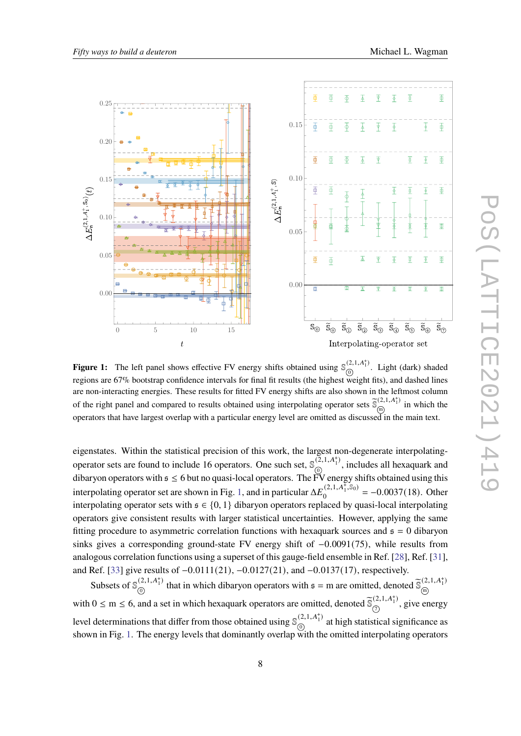<span id="page-7-0"></span>

**Figure 1:** The left panel shows effective FV energy shifts obtained using  $\mathbb{S}_{\widehat{\mathcal{O}}}^{(2,1,A_1^+)}$  $\overline{0}$ <sup>2,1,11</sup>/<sub>1</sub>. Light (dark) shaded regions are 67% bootstrap confidence intervals for final fit results (the highest weight fits), and dashed lines are non-interacting energies. These results for fitted FV energy shifts are also shown in the leftmost column of the right panel and compared to results obtained using interpolating operator sets  $\tilde{\mathbb{S}}_{\text{m}}^{(2,1,A_1^+)}$  $\widehat{m}$ <sup>(2,1,11</sup>) in which the operators that have largest overlap with a particular energy level are omitted as discussed in the main text.

eigenstates. Within the statistical precision of this work, the largest non-degenerate interpolatingoperator sets are found to include 16 operators. One such set,  $\mathbb{S}_{\odot}^{(\mathbb{Z},1,A_1^*)}$ , includes all hexaquark and dibaryon operators with  $\mathfrak{s} \leq 6$  but no quasi-local operators. The FV energy shifts obtained using this interpolating operator set are shown in Fig. [1,](#page-7-0) and in particular  $\Delta E_0^{(2,1,A_1^+, \tilde{\mathbb{S}}_0)}$  $\binom{(2,1,A_1^1,8_0)}{0}$  = -0.0037(18). Other interpolating operator sets with  $\mathfrak{s} \in \{0, 1\}$  dibaryon operators replaced by quasi-local interpolating operators give consistent results with larger statistical uncertainties. However, applying the same fitting procedure to asymmetric correlation functions with hexaguark sources and  $\epsilon = 0$  dibaryon sinks gives a corresponding ground-state FV energy shift of  $-0.0091(75)$ , while results from analogous correlation functions using a superset of this gauge-field ensemble in Ref. [\[28\]](#page-11-7), Ref. [\[31\]](#page-11-8), and Ref. [\[33\]](#page-11-2) give results of −0.0111(21), −0.0127(21), and −0.0137(17), respectively.

Subsets of  $\mathbb{S}_{\odot}^{(2,1,A_1^+)}$  $(2,1,A_1^+)$  that in which dibaryon operators with  $\mathfrak{s} = m$  are omitted, denoted  $\tilde{\mathbb{S}}_{\textcircled{m}}^{(2,1,A_1^+)}$ m with  $0 \le m \le 6$ , and a set in which hexaquark operators are omitted, denoted  $\tilde{\mathcal{S}}_{\textcircled{2}}^{(2,1,A_1^+)}$  $(\overline{z_1}, \overline{z_1}, \overline{z_1})$ , give energy level determinations that differ from those obtained using  $\mathcal{S}_{\odot}^{(2,1,A_1^+)}$  $\frac{1}{0}$  at high statistical significance as shown in Fig. [1.](#page-7-0) The energy levels that dominantly overlap with the omitted interpolating operators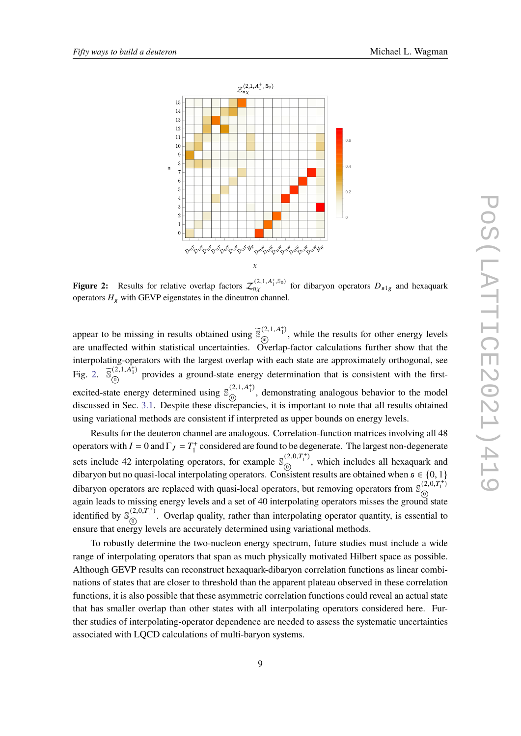<span id="page-8-0"></span>

**Figure 2:** Results for relative overlap factors  $\mathcal{Z}_{n\chi}^{(2,1,A_1^+,S_0)}$  for dibaryon operators  $D_{s1g}$  and hexaquark operators  $H_g$  with GEVP eigenstates in the dineutron channel.

appear to be missing in results obtained using  $\tilde{\mathbb{S}}_{\widehat{\omega}}^{(2,1,A_1^+)}$  $\lim_{m \to \infty}$ , while the results for other energy levels are unaffected within statistical uncertainties. Overlap-factor calculations further show that the interpolating-operators with the largest overlap with each state are approximately orthogonal, see Fig. [2.](#page-8-0)  $\tilde{\mathbb{S}}_{\odot}^{(2,1,\hat{A}_{1}^{+})}$  $\frac{\partial \mathcal{L}(X,Y)}{\partial y}$  provides a ground-state energy determination that is consistent with the firstexcited-state energy determined using  $\mathbb{S}_{\mathbb{Q}}^{(2,1,A_1^+)}$  $\frac{1}{0}$ , demonstrating analogous behavior to the model discussed in Sec. [3.1.](#page-5-0) Despite these discrepancies, it is important to note that all results obtained using variational methods are consistent if interpreted as upper bounds on energy levels.

Results for the deuteron channel are analogous. Correlation-function matrices involving all 48 operators with  $I = 0$  and  $\Gamma_J = T_1^+$  $n_1^+$  considered are found to be degenerate. The largest non-degenerate sets include 42 interpolating operators, for example  $\mathcal{S}_{\odot}^{(2,0,T_1^+)}$  $\frac{\partial}{\partial x}$ , which includes all hexaquark and dibaryon but no quasi-local interpolating operators. Consistent results are obtained when  $\mathfrak{s} \in \{0,1\}$ dibaryon operators are replaced with quasi-local operators, but removing operators from  $\mathbb{S}_{\odot}^{(2,0,T_1^+)}$  $\mathfrak{g}$ again leads to missing energy levels and a set of 40 interpolating operators misses the ground state identified by  $\mathbb{S}_{\odot}^{(2,0,T_1^+)}$  $\overline{0}$ <sup>2,0,1</sup><sup>1</sup>. Overlap quality, rather than interpolating operator quantity, is essential to ensure that energy levels are accurately determined using variational methods.

To robustly determine the two-nucleon energy spectrum, future studies must include a wide range of interpolating operators that span as much physically motivated Hilbert space as possible. Although GEVP results can reconstruct hexaquark-dibaryon correlation functions as linear combinations of states that are closer to threshold than the apparent plateau observed in these correlation functions, it is also possible that these asymmetric correlation functions could reveal an actual state that has smaller overlap than other states with all interpolating operators considered here. Further studies of interpolating-operator dependence are needed to assess the systematic uncertainties associated with LQCD calculations of multi-baryon systems.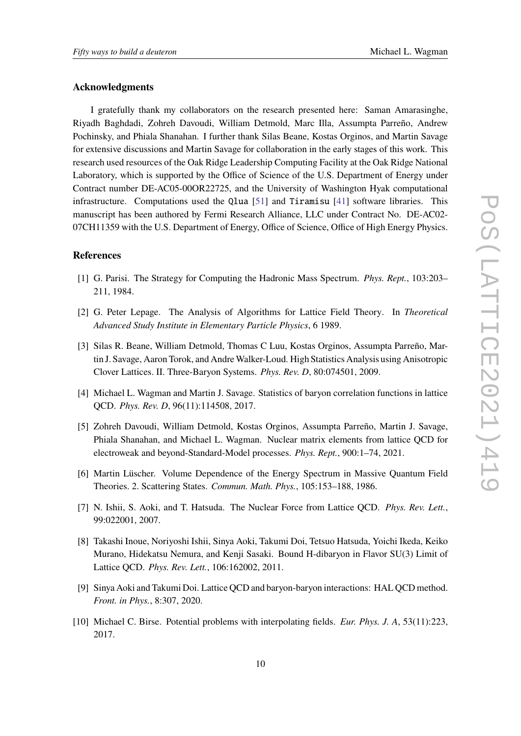## **Acknowledgments**

I gratefully thank my collaborators on the research presented here: Saman Amarasinghe, Riyadh Baghdadi, Zohreh Davoudi, William Detmold, Marc Illa, Assumpta Parreño, Andrew Pochinsky, and Phiala Shanahan. I further thank Silas Beane, Kostas Orginos, and Martin Savage for extensive discussions and Martin Savage for collaboration in the early stages of this work. This research used resources of the Oak Ridge Leadership Computing Facility at the Oak Ridge National Laboratory, which is supported by the Office of Science of the U.S. Department of Energy under Contract number DE-AC05-00OR22725, and the University of Washington Hyak computational infrastructure. Computations used the Qlua [\[51\]](#page-12-13) and Tiramisu [\[41\]](#page-12-3) software libraries. This manuscript has been authored by Fermi Research Alliance, LLC under Contract No. DE-AC02- 07CH11359 with the U.S. Department of Energy, Office of Science, Office of High Energy Physics.

# **References**

- <span id="page-9-0"></span>[1] G. Parisi. The Strategy for Computing the Hadronic Mass Spectrum. *Phys. Rept.*, 103:203– 211, 1984.
- [2] G. Peter Lepage. The Analysis of Algorithms for Lattice Field Theory. In *Theoretical Advanced Study Institute in Elementary Particle Physics*, 6 1989.
- [3] Silas R. Beane, William Detmold, Thomas C Luu, Kostas Orginos, Assumpta Parreño, Martin J. Savage, Aaron Torok, and AndreWalker-Loud. High Statistics Analysis using Anisotropic Clover Lattices. II. Three-Baryon Systems. *Phys. Rev. D*, 80:074501, 2009.
- [4] Michael L. Wagman and Martin J. Savage. Statistics of baryon correlation functions in lattice QCD. *Phys. Rev. D*, 96(11):114508, 2017.
- <span id="page-9-1"></span>[5] Zohreh Davoudi, William Detmold, Kostas Orginos, Assumpta Parreño, Martin J. Savage, Phiala Shanahan, and Michael L. Wagman. Nuclear matrix elements from lattice QCD for electroweak and beyond-Standard-Model processes. *Phys. Rept.*, 900:1–74, 2021.
- <span id="page-9-2"></span>[6] Martin Lüscher. Volume Dependence of the Energy Spectrum in Massive Quantum Field Theories. 2. Scattering States. *Commun. Math. Phys.*, 105:153–188, 1986.
- <span id="page-9-3"></span>[7] N. Ishii, S. Aoki, and T. Hatsuda. The Nuclear Force from Lattice QCD. *Phys. Rev. Lett.*, 99:022001, 2007.
- <span id="page-9-4"></span>[8] Takashi Inoue, Noriyoshi Ishii, Sinya Aoki, Takumi Doi, Tetsuo Hatsuda, Yoichi Ikeda, Keiko Murano, Hidekatsu Nemura, and Kenji Sasaki. Bound H-dibaryon in Flavor SU(3) Limit of Lattice QCD. *Phys. Rev. Lett.*, 106:162002, 2011.
- <span id="page-9-5"></span>[9] Sinya Aoki and Takumi Doi. Lattice QCD and baryon-baryon interactions: HAL QCD method. *Front. in Phys.*, 8:307, 2020.
- <span id="page-9-6"></span>[10] Michael C. Birse. Potential problems with interpolating fields. *Eur. Phys. J. A*, 53(11):223, 2017.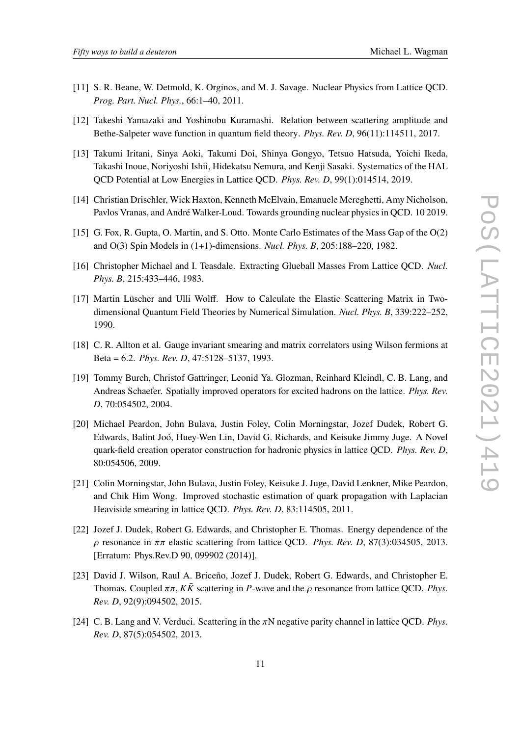- [11] S. R. Beane, W. Detmold, K. Orginos, and M. J. Savage. Nuclear Physics from Lattice QCD. *Prog. Part. Nucl. Phys.*, 66:1–40, 2011.
- [12] Takeshi Yamazaki and Yoshinobu Kuramashi. Relation between scattering amplitude and Bethe-Salpeter wave function in quantum field theory. *Phys. Rev. D*, 96(11):114511, 2017.
- [13] Takumi Iritani, Sinya Aoki, Takumi Doi, Shinya Gongyo, Tetsuo Hatsuda, Yoichi Ikeda, Takashi Inoue, Noriyoshi Ishii, Hidekatsu Nemura, and Kenji Sasaki. Systematics of the HAL QCD Potential at Low Energies in Lattice QCD. *Phys. Rev. D*, 99(1):014514, 2019.
- <span id="page-10-10"></span>[14] Christian Drischler, Wick Haxton, Kenneth McElvain, Emanuele Mereghetti, Amy Nicholson, Pavlos Vranas, and André Walker-Loud. Towards grounding nuclear physics in QCD. 10 2019.
- <span id="page-10-0"></span>[15] G. Fox, R. Gupta, O. Martin, and S. Otto. Monte Carlo Estimates of the Mass Gap of the O(2) and O(3) Spin Models in (1+1)-dimensions. *Nucl. Phys. B*, 205:188–220, 1982.
- <span id="page-10-2"></span>[16] Christopher Michael and I. Teasdale. Extracting Glueball Masses From Lattice QCD. *Nucl. Phys. B*, 215:433–446, 1983.
- <span id="page-10-1"></span>[17] Martin Lüscher and Ulli Wolff. How to Calculate the Elastic Scattering Matrix in Twodimensional Quantum Field Theories by Numerical Simulation. *Nucl. Phys. B*, 339:222–252, 1990.
- <span id="page-10-3"></span>[18] C. R. Allton et al. Gauge invariant smearing and matrix correlators using Wilson fermions at Beta = 6.2. *Phys. Rev. D*, 47:5128–5137, 1993.
- <span id="page-10-4"></span>[19] Tommy Burch, Christof Gattringer, Leonid Ya. Glozman, Reinhard Kleindl, C. B. Lang, and Andreas Schaefer. Spatially improved operators for excited hadrons on the lattice. *Phys. Rev. D*, 70:054502, 2004.
- <span id="page-10-5"></span>[20] Michael Peardon, John Bulava, Justin Foley, Colin Morningstar, Jozef Dudek, Robert G. Edwards, Balint Joó, Huey-Wen Lin, David G. Richards, and Keisuke Jimmy Juge. A Novel quark-field creation operator construction for hadronic physics in lattice QCD. *Phys. Rev. D*, 80:054506, 2009.
- <span id="page-10-6"></span>[21] Colin Morningstar, John Bulava, Justin Foley, Keisuke J. Juge, David Lenkner, Mike Peardon, and Chik Him Wong. Improved stochastic estimation of quark propagation with Laplacian Heaviside smearing in lattice QCD. *Phys. Rev. D*, 83:114505, 2011.
- <span id="page-10-7"></span>[22] Jozef J. Dudek, Robert G. Edwards, and Christopher E. Thomas. Energy dependence of the  $\rho$  resonance in  $\pi\pi$  elastic scattering from lattice QCD. *Phys. Rev. D*, 87(3):034505, 2013. [Erratum: Phys.Rev.D 90, 099902 (2014)].
- <span id="page-10-8"></span>[23] David J. Wilson, Raul A. Briceño, Jozef J. Dudek, Robert G. Edwards, and Christopher E. Thomas. Coupled  $\pi \pi$ ,  $K \bar{K}$  scattering in P-wave and the  $\rho$  resonance from lattice OCD. Phys. *Rev. D*, 92(9):094502, 2015.
- <span id="page-10-9"></span>[24] C. B. Lang and V. Verduci. Scattering in the  $\pi N$  negative parity channel in lattice QCD. *Phys. Rev. D*, 87(5):054502, 2013.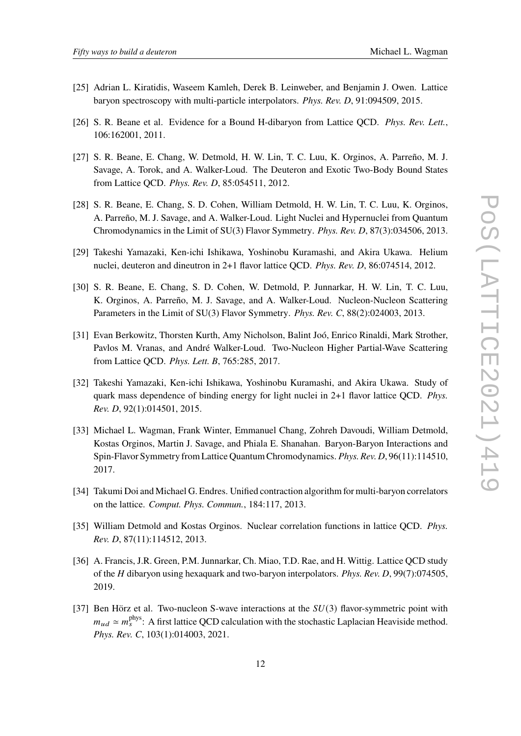- <span id="page-11-0"></span>[25] Adrian L. Kiratidis, Waseem Kamleh, Derek B. Leinweber, and Benjamin J. Owen. Lattice baryon spectroscopy with multi-particle interpolators. *Phys. Rev. D*, 91:094509, 2015.
- <span id="page-11-1"></span>[26] S. R. Beane et al. Evidence for a Bound H-dibaryon from Lattice QCD. *Phys. Rev. Lett.*, 106:162001, 2011.
- [27] S. R. Beane, E. Chang, W. Detmold, H. W. Lin, T. C. Luu, K. Orginos, A. Parreño, M. J. Savage, A. Torok, and A. Walker-Loud. The Deuteron and Exotic Two-Body Bound States from Lattice QCD. *Phys. Rev. D*, 85:054511, 2012.
- <span id="page-11-7"></span>[28] S. R. Beane, E. Chang, S. D. Cohen, William Detmold, H. W. Lin, T. C. Luu, K. Orginos, A. Parreño, M. J. Savage, and A. Walker-Loud. Light Nuclei and Hypernuclei from Quantum Chromodynamics in the Limit of SU(3) Flavor Symmetry. *Phys. Rev. D*, 87(3):034506, 2013.
- [29] Takeshi Yamazaki, Ken-ichi Ishikawa, Yoshinobu Kuramashi, and Akira Ukawa. Helium nuclei, deuteron and dineutron in 2+1 flavor lattice QCD. *Phys. Rev. D*, 86:074514, 2012.
- [30] S. R. Beane, E. Chang, S. D. Cohen, W. Detmold, P. Junnarkar, H. W. Lin, T. C. Luu, K. Orginos, A. Parreño, M. J. Savage, and A. Walker-Loud. Nucleon-Nucleon Scattering Parameters in the Limit of SU(3) Flavor Symmetry. *Phys. Rev. C*, 88(2):024003, 2013.
- <span id="page-11-8"></span>[31] Evan Berkowitz, Thorsten Kurth, Amy Nicholson, Balint Joó, Enrico Rinaldi, Mark Strother, Pavlos M. Vranas, and André Walker-Loud. Two-Nucleon Higher Partial-Wave Scattering from Lattice QCD. *Phys. Lett. B*, 765:285, 2017.
- [32] Takeshi Yamazaki, Ken-ichi Ishikawa, Yoshinobu Kuramashi, and Akira Ukawa. Study of quark mass dependence of binding energy for light nuclei in 2+1 flavor lattice QCD. *Phys. Rev. D*, 92(1):014501, 2015.
- <span id="page-11-2"></span>[33] Michael L. Wagman, Frank Winter, Emmanuel Chang, Zohreh Davoudi, William Detmold, Kostas Orginos, Martin J. Savage, and Phiala E. Shanahan. Baryon-Baryon Interactions and Spin-Flavor Symmetry from Lattice Quantum Chromodynamics. *Phys. Rev. D*, 96(11):114510, 2017.
- <span id="page-11-3"></span>[34] Takumi Doi and Michael G. Endres. Unified contraction algorithm for multi-baryon correlators on the lattice. *Comput. Phys. Commun.*, 184:117, 2013.
- <span id="page-11-4"></span>[35] William Detmold and Kostas Orginos. Nuclear correlation functions in lattice QCD. *Phys. Rev. D*, 87(11):114512, 2013.
- <span id="page-11-5"></span>[36] A. Francis, J.R. Green, P.M. Junnarkar, Ch. Miao, T.D. Rae, and H. Wittig. Lattice QCD study of the *H* dibaryon using hexaquark and two-baryon interpolators. *Phys. Rev. D*, 99(7):074505, 2019.
- <span id="page-11-6"></span>[37] Ben Hörz et al. Two-nucleon S-wave interactions at the  $SU(3)$  flavor-symmetric point with  $m_{ud} \simeq m_s^{\text{phys}}$ : A first lattice QCD calculation with the stochastic Laplacian Heaviside method. *Phys. Rev. C*, 103(1):014003, 2021.